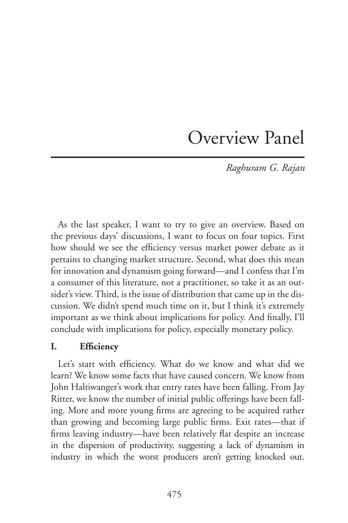# Overview Panel

*Raghuram G. Rajan*

As the last speaker, I want to try to give an overview. Based on the previous days' discussions, I want to focus on four topics. First how should we see the efficiency versus market power debate as it pertains to changing market structure. Second, what does this mean for innovation and dynamism going forward—and I confess that I'm a consumer of this literature, not a practitioner, so take it as an outsider's view. Third, is the issue of distribution that came up in the discussion. We didn't spend much time on it, but I think it's extremely important as we think about implications for policy. And finally, I'll conclude with implications for policy, especially monetary policy.

# **I. Efficiency**

Let's start with efficiency. What do we know and what did we learn? We know some facts that have caused concern. We know from John Haltiwanger's work that entry rates have been falling. From Jay Ritter, we know the number of initial public offerings have been falling. More and more young firms are agreeing to be acquired rather than growing and becoming large public firms. Exit rates—that if firms leaving industry—have been relatively flat despite an increase in the dispersion of productivity, suggesting a lack of dynamism in industry in which the worst producers aren't getting knocked out.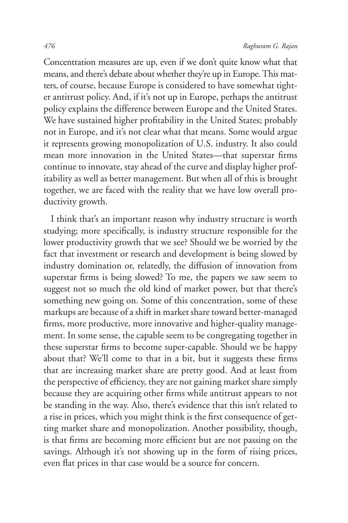Concentration measures are up, even if we don't quite know what that means, and there's debate about whether they're up in Europe. This matters, of course, because Europe is considered to have somewhat tighter antitrust policy. And, if it's not up in Europe, perhaps the antitrust policy explains the difference between Europe and the United States. We have sustained higher profitability in the United States; probably not in Europe, and it's not clear what that means. Some would argue it represents growing monopolization of U.S. industry. It also could mean more innovation in the United States—that superstar firms continue to innovate, stay ahead of the curve and display higher profitability as well as better management. But when all of this is brought together, we are faced with the reality that we have low overall productivity growth.

I think that's an important reason why industry structure is worth studying; more specifically, is industry structure responsible for the lower productivity growth that we see? Should we be worried by the fact that investment or research and development is being slowed by industry domination or, relatedly, the diffusion of innovation from superstar firms is being slowed? To me, the papers we saw seem to suggest not so much the old kind of market power, but that there's something new going on. Some of this concentration, some of these markups are because of a shift in market share toward better-managed firms, more productive, more innovative and higher-quality management. In some sense, the capable seem to be congregating together in these superstar firms to become super-capable. Should we be happy about that? We'll come to that in a bit, but it suggests these firms that are increasing market share are pretty good. And at least from the perspective of efficiency, they are not gaining market share simply because they are acquiring other firms while antitrust appears to not be standing in the way. Also, there's evidence that this isn't related to a rise in prices, which you might think is the first consequence of getting market share and monopolization. Another possibility, though, is that firms are becoming more efficient but are not passing on the savings. Although it's not showing up in the form of rising prices, even flat prices in that case would be a source for concern.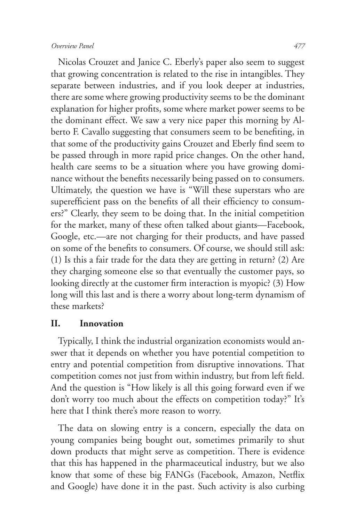#### *Overview Panel 477*

Nicolas Crouzet and Janice C. Eberly's paper also seem to suggest that growing concentration is related to the rise in intangibles. They separate between industries, and if you look deeper at industries, there are some where growing productivity seems to be the dominant explanation for higher profits, some where market power seems to be the dominant effect. We saw a very nice paper this morning by Alberto F. Cavallo suggesting that consumers seem to be benefiting, in that some of the productivity gains Crouzet and Eberly find seem to be passed through in more rapid price changes. On the other hand, health care seems to be a situation where you have growing dominance without the benefits necessarily being passed on to consumers. Ultimately, the question we have is "Will these superstars who are superefficient pass on the benefits of all their efficiency to consumers?" Clearly, they seem to be doing that. In the initial competition for the market, many of these often talked about giants—Facebook, Google, etc.—are not charging for their products, and have passed on some of the benefits to consumers. Of course, we should still ask: (1) Is this a fair trade for the data they are getting in return? (2) Are they charging someone else so that eventually the customer pays, so looking directly at the customer firm interaction is myopic? (3) How long will this last and is there a worry about long-term dynamism of these markets?

#### **II. Innovation**

Typically, I think the industrial organization economists would answer that it depends on whether you have potential competition to entry and potential competition from disruptive innovations. That competition comes not just from within industry, but from left field. And the question is "How likely is all this going forward even if we don't worry too much about the effects on competition today?" It's here that I think there's more reason to worry.

The data on slowing entry is a concern, especially the data on young companies being bought out, sometimes primarily to shut down products that might serve as competition. There is evidence that this has happened in the pharmaceutical industry, but we also know that some of these big FANGs (Facebook, Amazon, Netflix and Google) have done it in the past. Such activity is also curbing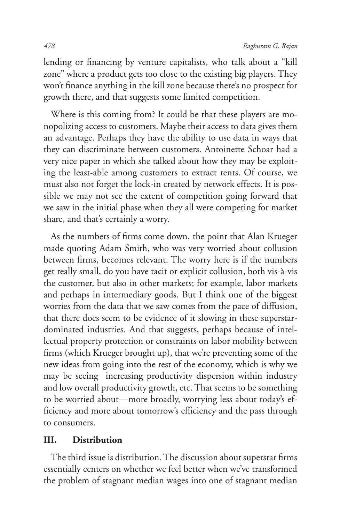lending or financing by venture capitalists, who talk about a "kill zone" where a product gets too close to the existing big players. They won't finance anything in the kill zone because there's no prospect for growth there, and that suggests some limited competition.

Where is this coming from? It could be that these players are monopolizing access to customers. Maybe their access to data gives them an advantage. Perhaps they have the ability to use data in ways that they can discriminate between customers. Antoinette Schoar had a very nice paper in which she talked about how they may be exploiting the least-able among customers to extract rents. Of course, we must also not forget the lock-in created by network effects. It is possible we may not see the extent of competition going forward that we saw in the initial phase when they all were competing for market share, and that's certainly a worry.

As the numbers of firms come down, the point that Alan Krueger made quoting Adam Smith, who was very worried about collusion between firms, becomes relevant. The worry here is if the numbers get really small, do you have tacit or explicit collusion, both vis-à-vis the customer, but also in other markets; for example, labor markets and perhaps in intermediary goods. But I think one of the biggest worries from the data that we saw comes from the pace of diffusion, that there does seem to be evidence of it slowing in these superstardominated industries. And that suggests, perhaps because of intellectual property protection or constraints on labor mobility between firms (which Krueger brought up), that we're preventing some of the new ideas from going into the rest of the economy, which is why we may be seeing increasing productivity dispersion within industry and low overall productivity growth, etc. That seems to be something to be worried about—more broadly, worrying less about today's efficiency and more about tomorrow's efficiency and the pass through to consumers.

### **III. Distribution**

The third issue is distribution. The discussion about superstar firms essentially centers on whether we feel better when we've transformed the problem of stagnant median wages into one of stagnant median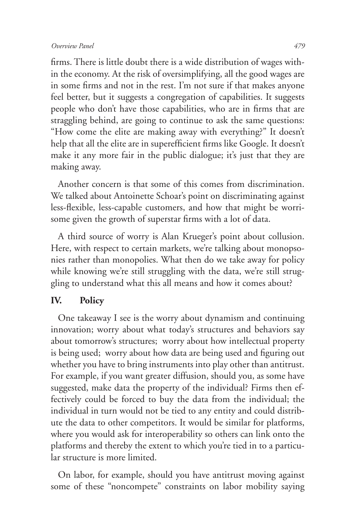#### *Overview Panel 479*

firms. There is little doubt there is a wide distribution of wages within the economy. At the risk of oversimplifying, all the good wages are in some firms and not in the rest. I'm not sure if that makes anyone feel better, but it suggests a congregation of capabilities. It suggests people who don't have those capabilities, who are in firms that are straggling behind, are going to continue to ask the same questions: "How come the elite are making away with everything?" It doesn't help that all the elite are in superefficient firms like Google. It doesn't make it any more fair in the public dialogue; it's just that they are making away.

Another concern is that some of this comes from discrimination. We talked about Antoinette Schoar's point on discriminating against less-flexible, less-capable customers, and how that might be worrisome given the growth of superstar firms with a lot of data.

A third source of worry is Alan Krueger's point about collusion. Here, with respect to certain markets, we're talking about monopsonies rather than monopolies. What then do we take away for policy while knowing we're still struggling with the data, we're still struggling to understand what this all means and how it comes about?

## **IV. Policy**

One takeaway I see is the worry about dynamism and continuing innovation; worry about what today's structures and behaviors say about tomorrow's structures; worry about how intellectual property is being used; worry about how data are being used and figuring out whether you have to bring instruments into play other than antitrust. For example, if you want greater diffusion, should you, as some have suggested, make data the property of the individual? Firms then effectively could be forced to buy the data from the individual; the individual in turn would not be tied to any entity and could distribute the data to other competitors. It would be similar for platforms, where you would ask for interoperability so others can link onto the platforms and thereby the extent to which you're tied in to a particular structure is more limited.

On labor, for example, should you have antitrust moving against some of these "noncompete" constraints on labor mobility saying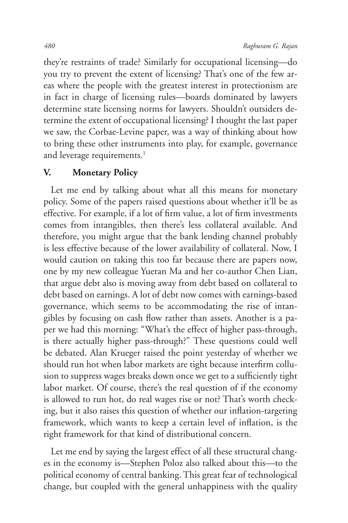they're restraints of trade? Similarly for occupational licensing—do you try to prevent the extent of licensing? That's one of the few areas where the people with the greatest interest in protectionism are in fact in charge of licensing rules—boards dominated by lawyers determine state licensing norms for lawyers. Shouldn't outsiders determine the extent of occupational licensing? I thought the last paper we saw, the Corbae-Levine paper, was a way of thinking about how to bring these other instruments into play, for example, governance and leverage requirements.<sup>1</sup>

## **V. Monetary Policy**

Let me end by talking about what all this means for monetary policy. Some of the papers raised questions about whether it'll be as effective. For example, if a lot of firm value, a lot of firm investments comes from intangibles, then there's less collateral available. And therefore, you might argue that the bank lending channel probably is less effective because of the lower availability of collateral. Now, I would caution on taking this too far because there are papers now, one by my new colleague Yueran Ma and her co-author Chen Lian, that argue debt also is moving away from debt based on collateral to debt based on earnings. A lot of debt now comes with earnings-based governance, which seems to be accommodating the rise of intangibles by focusing on cash flow rather than assets. Another is a paper we had this morning: "What's the effect of higher pass-through, is there actually higher pass-through?" These questions could well be debated. Alan Krueger raised the point yesterday of whether we should run hot when labor markets are tight because interfirm collusion to suppress wages breaks down once we get to a sufficiently tight labor market. Of course, there's the real question of if the economy is allowed to run hot, do real wages rise or not? That's worth checking, but it also raises this question of whether our inflation-targeting framework, which wants to keep a certain level of inflation, is the right framework for that kind of distributional concern.

Let me end by saying the largest effect of all these structural changes in the economy is—Stephen Poloz also talked about this—to the political economy of central banking. This great fear of technological change, but coupled with the general unhappiness with the quality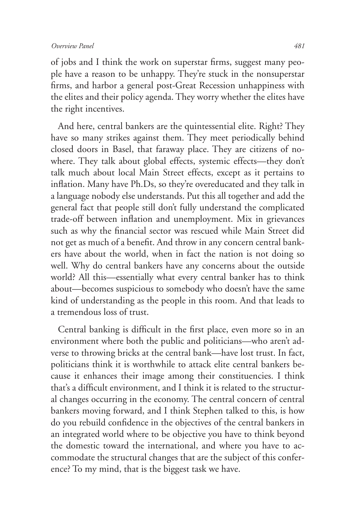of jobs and I think the work on superstar firms, suggest many people have a reason to be unhappy. They're stuck in the nonsuperstar firms, and harbor a general post-Great Recession unhappiness with the elites and their policy agenda. They worry whether the elites have the right incentives.

And here, central bankers are the quintessential elite. Right? They have so many strikes against them. They meet periodically behind closed doors in Basel, that faraway place. They are citizens of nowhere. They talk about global effects, systemic effects—they don't talk much about local Main Street effects, except as it pertains to inflation. Many have Ph.Ds, so they're overeducated and they talk in a language nobody else understands. Put this all together and add the general fact that people still don't fully understand the complicated trade-off between inflation and unemployment. Mix in grievances such as why the financial sector was rescued while Main Street did not get as much of a benefit. And throw in any concern central bankers have about the world, when in fact the nation is not doing so well. Why do central bankers have any concerns about the outside world? All this—essentially what every central banker has to think about—becomes suspicious to somebody who doesn't have the same kind of understanding as the people in this room. And that leads to a tremendous loss of trust.

Central banking is difficult in the first place, even more so in an environment where both the public and politicians—who aren't adverse to throwing bricks at the central bank—have lost trust. In fact, politicians think it is worthwhile to attack elite central bankers because it enhances their image among their constituencies. I think that's a difficult environment, and I think it is related to the structural changes occurring in the economy. The central concern of central bankers moving forward, and I think Stephen talked to this, is how do you rebuild confidence in the objectives of the central bankers in an integrated world where to be objective you have to think beyond the domestic toward the international, and where you have to accommodate the structural changes that are the subject of this conference? To my mind, that is the biggest task we have.